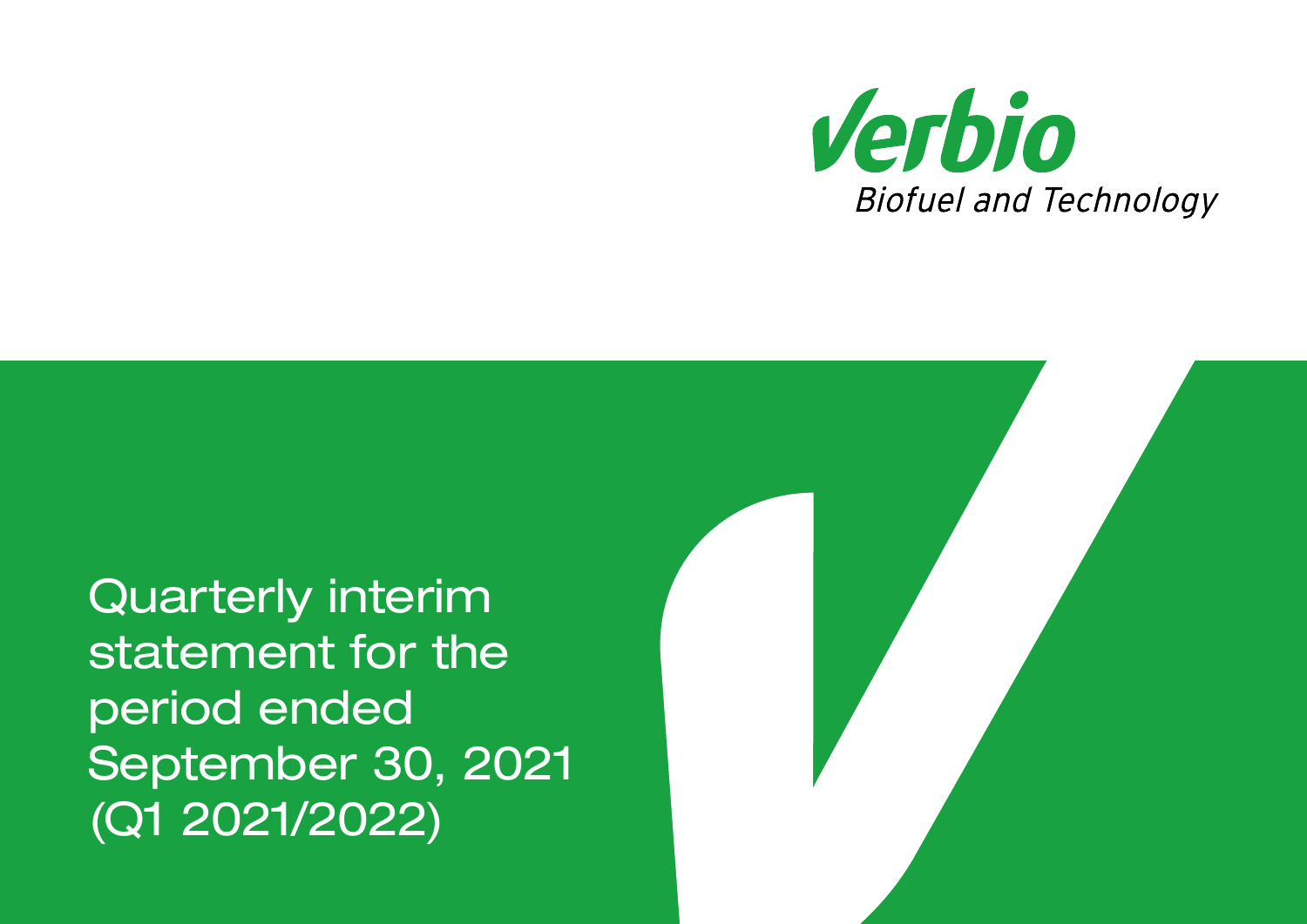

Quarterly interim statement for the period ended September 30, 2021 (Q1 2021/2022)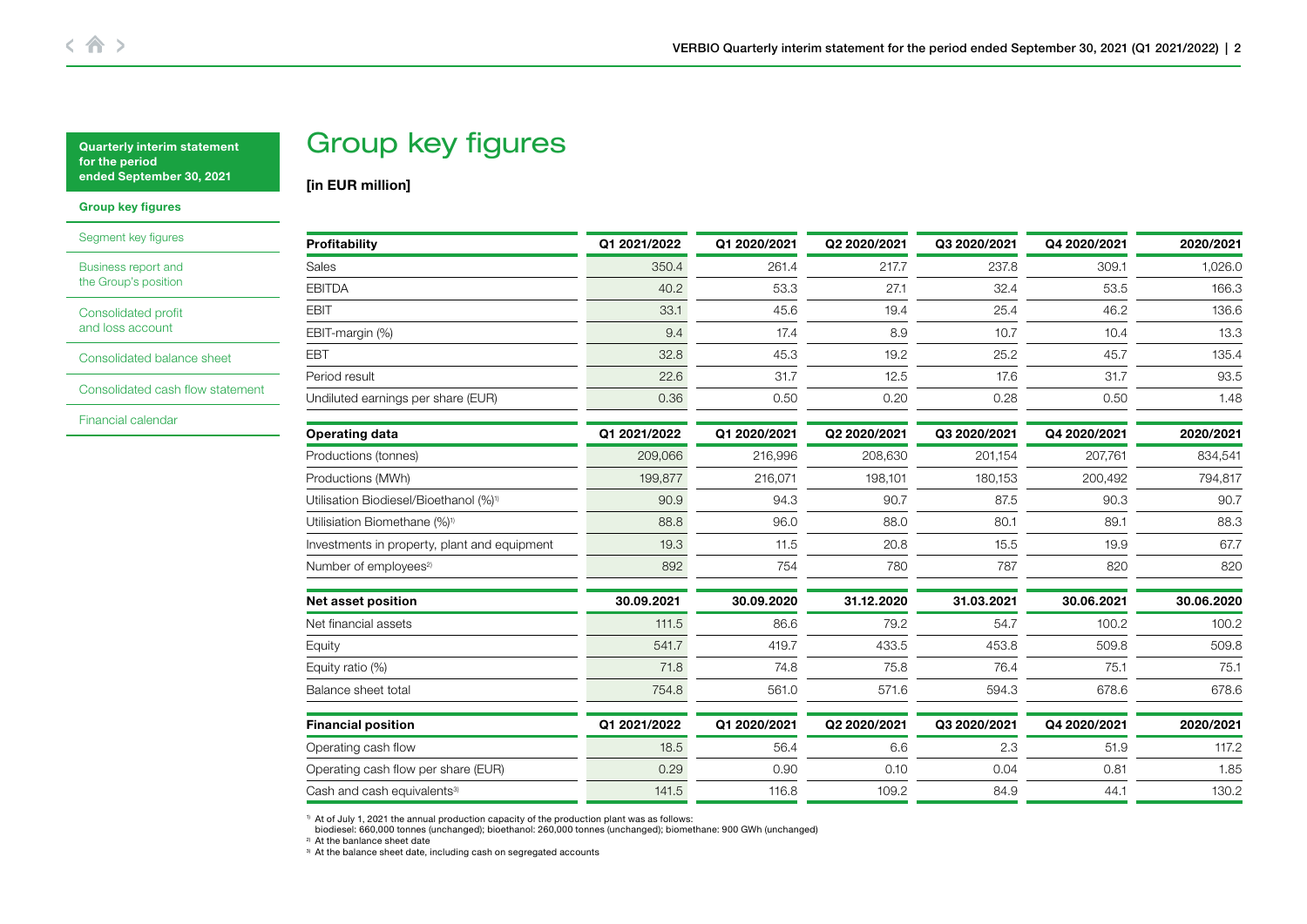# Group key figures

[in EUR million]

### <span id="page-1-0"></span>Group key figures

[Segment key figures](#page-2-0)

[Business report and](#page-3-0)  the Group's position

[Consolidated profit](#page-5-0)  and loss account

[Consolidated balance sheet](#page-6-0)

[Consolidated cash flow statement](#page-8-0)

[Financial calendar](#page-10-0)

| Profitability                                      | Q1 2021/2022 | Q1 2020/2021 | Q2 2020/2021 | Q3 2020/2021 | Q4 2020/2021 | 2020/2021  |
|----------------------------------------------------|--------------|--------------|--------------|--------------|--------------|------------|
| <b>Sales</b>                                       | 350.4        | 261.4        | 217.7        | 237.8        | 309.1        | 1,026.0    |
| <b>EBITDA</b>                                      | 40.2         | 53.3         | 27.1         | 32.4         | 53.5         | 166.3      |
| <b>EBIT</b>                                        | 33.1         | 45.6         | 19.4         | 25.4         | 46.2         | 136.6      |
| EBIT-margin (%)                                    | 9.4          | 17.4         | 8.9          | 10.7         | 10.4         | 13.3       |
| <b>EBT</b>                                         | 32.8         | 45.3         | 19.2         | 25.2         | 45.7         | 135.4      |
| Period result                                      | 22.6         | 31.7         | 12.5         | 17.6         | 31.7         | 93.5       |
| Undiluted earnings per share (EUR)                 | 0.36         | 0.50         | 0.20         | 0.28         | 0.50         | 1.48       |
| <b>Operating data</b>                              | Q1 2021/2022 | Q1 2020/2021 | Q2 2020/2021 | Q3 2020/2021 | Q4 2020/2021 | 2020/2021  |
| Productions (tonnes)                               | 209,066      | 216,996      | 208,630      | 201,154      | 207,761      | 834,541    |
| Productions (MWh)                                  | 199,877      | 216,071      | 198,101      | 180,153      | 200,492      | 794,817    |
| Utilisation Biodiesel/Bioethanol (%) <sup>1)</sup> | 90.9         | 94.3         | 90.7         | 87.5         | 90.3         | 90.7       |
| Utilisiation Biomethane (%) <sup>1)</sup>          | 88.8         | 96.0         | 88.0         | 80.1         | 89.1         | 88.3       |
| Investments in property, plant and equipment       | 19.3         | 11.5         | 20.8         | 15.5         | 19.9         | 67.7       |
| Number of employees <sup>2)</sup>                  | 892          | 754          | 780          | 787          | 820          | 820        |
| <b>Net asset position</b>                          | 30.09.2021   | 30.09.2020   | 31.12.2020   | 31.03.2021   | 30.06.2021   | 30.06.2020 |
| Net financial assets                               | 111.5        | 86.6         | 79.2         | 54.7         | 100.2        | 100.2      |
| Equity                                             | 541.7        | 419.7        | 433.5        | 453.8        | 509.8        | 509.8      |
| Equity ratio (%)                                   | 71.8         | 74.8         | 75.8         | 76.4         | 75.1         | 75.1       |
| Balance sheet total                                | 754.8        | 561.0        | 571.6        | 594.3        | 678.6        | 678.6      |
| <b>Financial position</b>                          | Q1 2021/2022 | Q1 2020/2021 | Q2 2020/2021 | Q3 2020/2021 | Q4 2020/2021 | 2020/2021  |
| Operating cash flow                                | 18.5         | 56.4         | 6.6          | 2.3          | 51.9         | 117.2      |
| Operating cash flow per share (EUR)                | 0.29         | 0.90         | 0.10         | 0.04         | 0.81         | 1.85       |
| Cash and cash equivalents <sup>3)</sup>            | 141.5        | 116.8        | 109.2        | 84.9         | 44.1         | 130.2      |

1) At of July 1, 2021 the annual production capacity of the production plant was as follows: biodiesel: 660,000 tonnes (unchanged); bioethanol: 260,000 tonnes (unchanged); biomethane: 900 GWh (unchanged)

<sup>2)</sup> At the banlance sheet date

3) At the balance sheet date, including cash on segregated accounts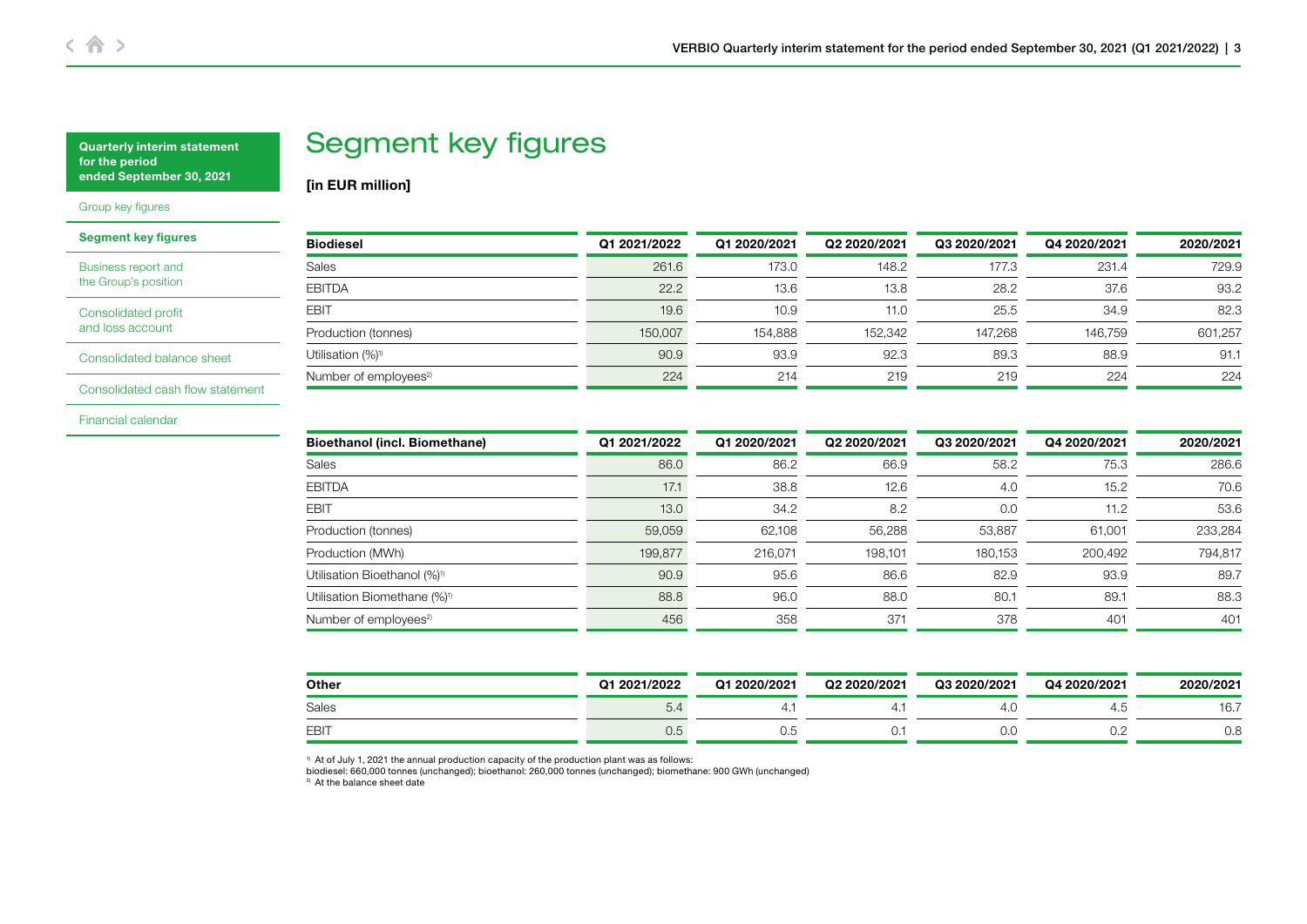# Segment key figures

[in EUR million]

## <span id="page-2-0"></span>[Group key figures](#page-1-0)

| <b>Segment key figures</b> |  |  |
|----------------------------|--|--|
|----------------------------|--|--|

[Business report and](#page-3-0)  the Group's position

[Consolidated profit](#page-5-0)  and loss account

[Consolidated balance sheet](#page-6-0)

[Consolidated cash flow statement](#page-8-0)

[Financial calendar](#page-10-0)

| <b>Biodiesel</b>                  | Q1 2021/2022 | Q1 2020/2021 | Q2 2020/2021 | Q3 2020/2021 | Q4 2020/2021 | 2020/2021 |
|-----------------------------------|--------------|--------------|--------------|--------------|--------------|-----------|
| Sales                             | 261.6        | 173.0        | 148.2        | 177.3        | 231.4        | 729.9     |
| <b>EBITDA</b>                     | 22.2         | 13.6         | 13.8         | 28.2         | 37.6         | 93.2      |
| <b>EBIT</b>                       | 19.6         | 10.9         | 11.0         | 25.5         | 34.9         | 82.3      |
| Production (tonnes)               | 150,007      | 154.888      | 152.342      | 147.268      | 146.759      | 601.257   |
| Utilisation (%) <sup>1)</sup>     | 90.9         | 93.9         | 92.3         | 89.3         | 88.9         | 91.1      |
| Number of employees <sup>2)</sup> | 224          | 214          | 219          | 219          | 224          | 224       |

| <b>Bioethanol (incl. Biomethane)</b>     | Q1 2021/2022 | Q1 2020/2021 | Q2 2020/2021 | Q3 2020/2021 | Q4 2020/2021    | 2020/2021 |
|------------------------------------------|--------------|--------------|--------------|--------------|-----------------|-----------|
| Sales                                    | 86.0         | 86.2         | 66.9         | 58.2         | 75.3            | 286.6     |
| <b>EBITDA</b>                            | 17.1         | 38.8         | 12.6         | 4.0          | 15.2            | 70.6      |
| <b>EBIT</b>                              | 13.0         | 34.2         | 8.2          | 0.0          | 11.2            | 53.6      |
| Production (tonnes)                      | 59,059       | 62.108       | 56,288       | 53,887       | 61.001          | 233,284   |
| Production (MWh)                         | 199,877      | 216,071      | 198,101      | 180,153      | 200,492         | 794,817   |
| Utilisation Bioethanol (%) <sup>1)</sup> | 90.9         | 95.6         | 86.6         | 82.9         | 93.9            | 89.7      |
| Utilisation Biomethane (%) <sup>1)</sup> | 88.8         | 96.0         | 88.0         | 80.1         | 89.1            | 88.3      |
| Number of employees <sup>2)</sup>        | 456          | 358          | 371          | 378          | 40 <sup>2</sup> | 401       |

| Other        | Q1 2021/2022 | Q1 2020/2021 | Q2 2020/2021 | Q3 2020/2021 | Q4 2020/2021 | 2020/2021 |
|--------------|--------------|--------------|--------------|--------------|--------------|-----------|
| <b>Sales</b> | 5.4          |              |              | 4.U          |              | 16.7      |
| EBIT         | U.5          | U.O          | U.           | v.u          | ◡.           | v.c       |

 $1)$  At of July 1, 2021 the annual production capacity of the production plant was as follows:

biodiesel: 660,000 tonnes (unchanged); bioethanol: 260,000 tonnes (unchanged); biomethane: 900 GWh (unchanged)

<sup>2</sup> At the balance sheet date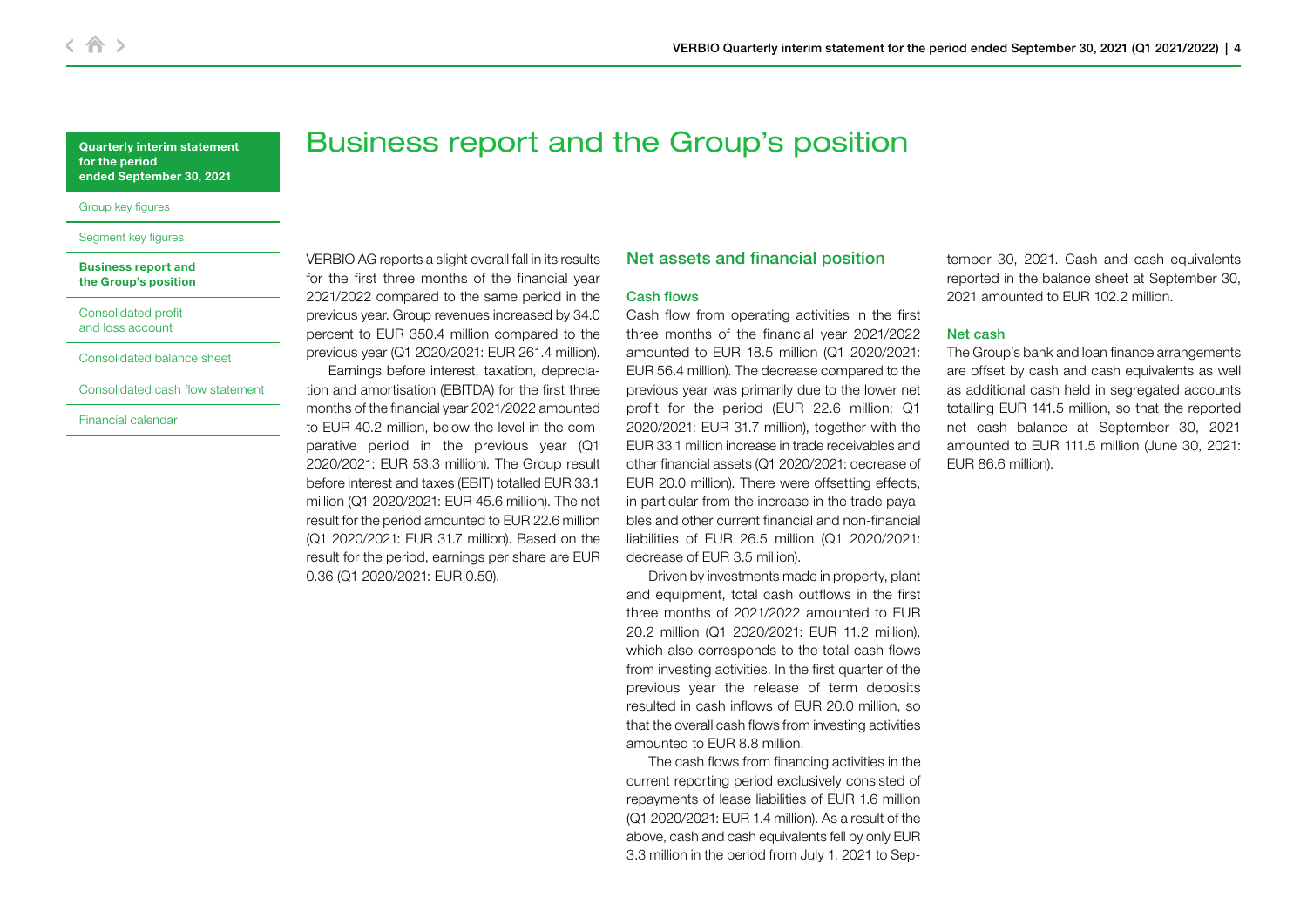<span id="page-3-0"></span>[Group key figures](#page-1-0)

#### [Segment key figures](#page-2-0)

#### Business report and the Group's position

[Consolidated profit](#page-5-0)  and loss account

#### [Consolidated balance sheet](#page-6-0)

[Consolidated cash flow statement](#page-8-0)

[Financial calendar](#page-10-0)

Business report and the Group's position

VERBIO AG reports a slight overall fall in its results for the first three months of the financial year 2021/2022 compared to the same period in the previous year. Group revenues increased by 34.0 percent to EUR 350.4 million compared to the previous year (Q1 2020/2021: EUR 261.4 million).

Earnings before interest, taxation, depreciation and amortisation (EBITDA) for the first three months of the financial year 2021/2022 amounted to EUR 40.2 million, below the level in the comparative period in the previous year (Q1 2020/2021: EUR 53.3 million). The Group result before interest and taxes (EBIT) totalled EUR 33.1 million (Q1 2020/2021: EUR 45.6 million). The net result for the period amounted to EUR 22.6 million (Q1 2020/2021: EUR 31.7 million). Based on the result for the period, earnings per share are EUR 0.36 (Q1 2020/2021: EUR 0.50).

## Net assets and financial position

## Cash flows

Cash flow from operating activities in the first three months of the financial year 2021/2022 amounted to EUR 18.5 million (Q1 2020/2021: EUR 56.4 million). The decrease compared to the previous year was primarily due to the lower net profit for the period (EUR 22.6 million; Q1 2020/2021: EUR 31.7 million), together with the EUR 33.1 million increase in trade receivables and other financial assets (Q1 2020/2021: decrease of EUR 20.0 million). There were offsetting effects, in particular from the increase in the trade payables and other current financial and non-financial liabilities of EUR 26.5 million (Q1 2020/2021: decrease of EUR 3.5 million).

Driven by investments made in property, plant and equipment, total cash outflows in the first three months of 2021/2022 amounted to EUR 20.2 million (Q1 2020/2021: EUR 11.2 million), which also corresponds to the total cash flows from investing activities. In the first quarter of the previous year the release of term deposits resulted in cash inflows of EUR 20.0 million, so that the overall cash flows from investing activities amounted to EUR 8.8 million.

The cash flows from financing activities in the current reporting period exclusively consisted of repayments of lease liabilities of EUR 1.6 million (Q1 2020/2021: EUR 1.4 million). As a result of the above, cash and cash equivalents fell by only EUR 3.3 million in the period from July 1, 2021 to September 30, 2021. Cash and cash equivalents reported in the balance sheet at September 30, 2021 amounted to EUR 102.2 million.

## Net cash

The Group's bank and loan finance arrangements are offset by cash and cash equivalents as well as additional cash held in segregated accounts totalling EUR 141.5 million, so that the reported net cash balance at September 30, 2021 amounted to EUR 111.5 million (June 30, 2021: EUR 86.6 million).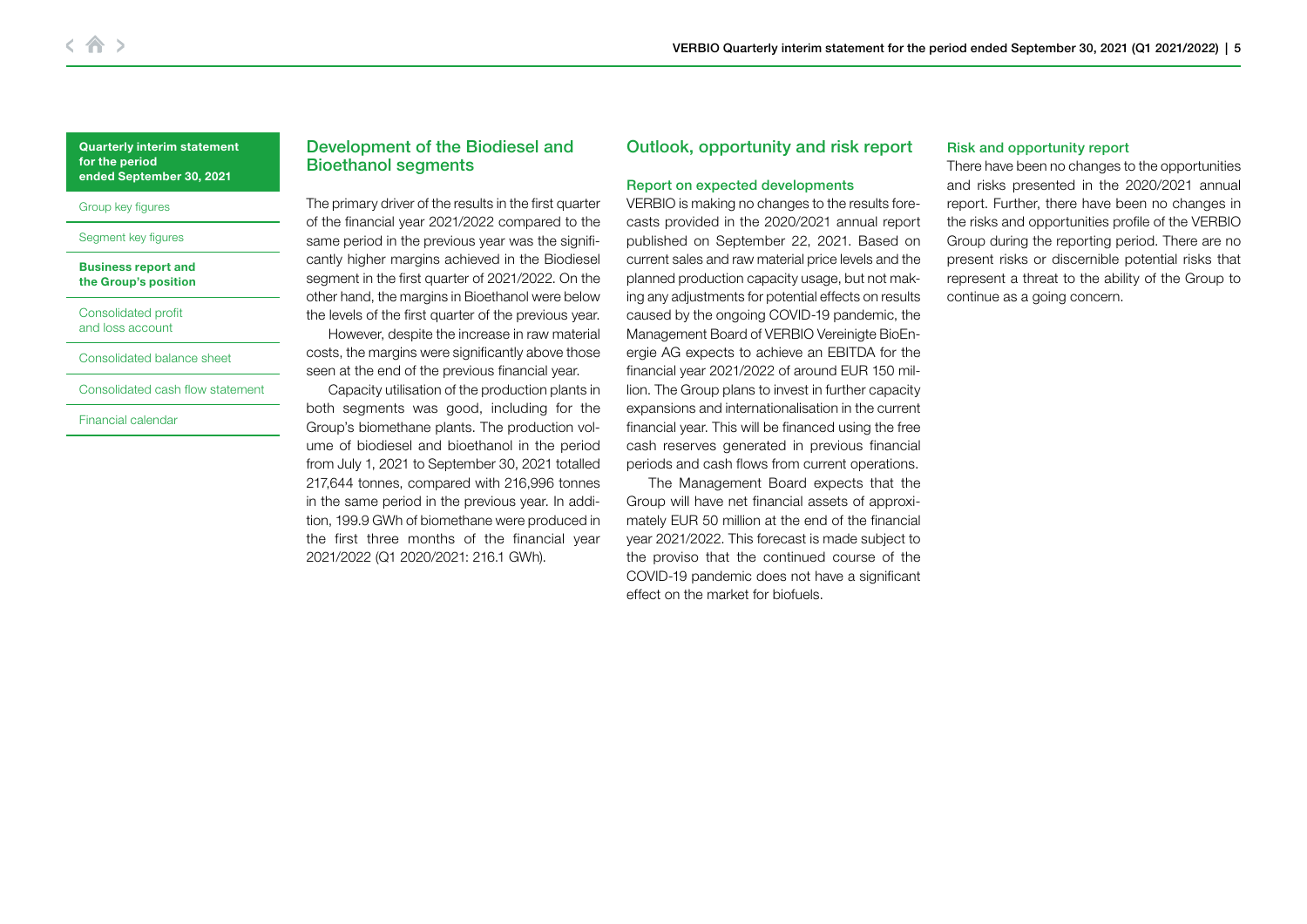#### [Group key figures](#page-1-0)

### Seament key figures

#### [Business report and](#page-3-0)  the Group's position

[Consolidated profit](#page-5-0)  and loss account

### [Consolidated balance sheet](#page-6-0)

[Consolidated cash flow statement](#page-8-0)

[Financial calendar](#page-10-0)

## Development of the Biodiesel and Bioethanol segments

The primary driver of the results in the first quarter of the financial year 2021/2022 compared to the same period in the previous year was the significantly higher margins achieved in the Biodiesel segment in the first quarter of 2021/2022. On the other hand, the margins in Bioethanol were below the levels of the first quarter of the previous year. However, despite the increase in raw material costs, the margins were significantly above those

seen at the end of the previous financial year. Capacity utilisation of the production plants in both segments was good, including for the Group's biomethane plants. The production volume of biodiesel and bioethanol in the period from July 1, 2021 to September 30, 2021 totalled 217,644 tonnes, compared with 216,996 tonnes in the same period in the previous year. In addition, 199.9 GWh of biomethane were produced in the first three months of the financial year 2021/2022 (Q1 2020/2021: 216.1 GWh).

## Outlook, opportunity and risk report

## Report on expected developments

VERBIO is making no changes to the results forecasts provided in the 2020/2021 annual report published on September 22, 2021. Based on current sales and raw material price levels and the planned production capacity usage, but not making any adjustments for potential effects on results caused by the ongoing COVID-19 pandemic, the Management Board of VERBIO Vereinigte BioEnergie AG expects to achieve an EBITDA for the financial year 2021/2022 of around EUR 150 million. The Group plans to invest in further capacity expansions and internationalisation in the current financial year. This will be financed using the free cash reserves generated in previous financial periods and cash flows from current operations.

The Management Board expects that the Group will have net financial assets of approximately EUR 50 million at the end of the financial year 2021/2022. This forecast is made subject to the proviso that the continued course of the COVID-19 pandemic does not have a significant effect on the market for biofuels.

## Risk and opportunity report

There have been no changes to the opportunities and risks presented in the 2020/2021 annual report. Further, there have been no changes in the risks and opportunities profile of the VERBIO Group during the reporting period. There are no present risks or discernible potential risks that represent a threat to the ability of the Group to continue as a going concern.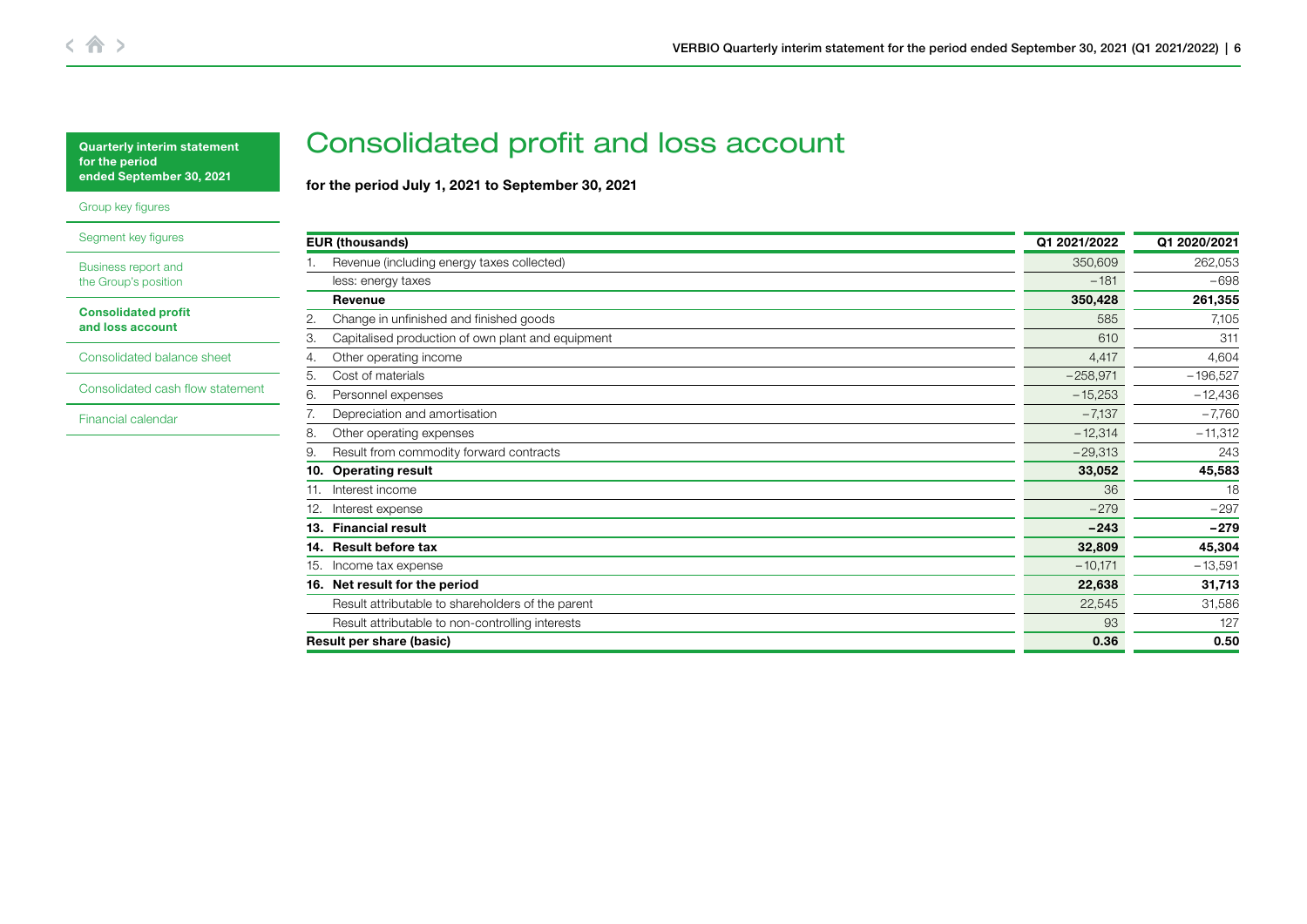<span id="page-5-0"></span>[Group key figures](#page-1-0)

[Segment key figures](#page-2-0)

[Business report and](#page-3-0)  the Group's position

Consolidated profit and loss account

[Consolidated balance sheet](#page-6-0)

[Consolidated cash flow statement](#page-8-0)

[Financial calendar](#page-10-0)

# Consolidated profit and loss account

for the period July 1, 2021 to September 30, 2021

| <b>EUR (thousands)</b>                                  | Q1 2021/2022 | Q1 2020/2021 |
|---------------------------------------------------------|--------------|--------------|
| Revenue (including energy taxes collected)              | 350,609      | 262,053      |
| less: energy taxes                                      | $-181$       | $-698$       |
| Revenue                                                 | 350,428      | 261,355      |
| 2.<br>Change in unfinished and finished goods           | 585          | 7,105        |
| Capitalised production of own plant and equipment<br>З. | 610          | 311          |
| Other operating income<br>4.                            | 4,417        | 4,604        |
| Cost of materials<br>5.                                 | $-258,971$   | $-196,527$   |
| Personnel expenses<br>6.                                | $-15,253$    | $-12,436$    |
| 7.<br>Depreciation and amortisation                     | $-7,137$     | $-7,760$     |
| 8.<br>Other operating expenses                          | $-12,314$    | $-11,312$    |
| Result from commodity forward contracts<br>9.           | $-29,313$    | 243          |
| <b>Operating result</b><br>10.                          | 33,052       | 45,583       |
| Interest income<br>11.                                  | 36           | 18           |
| Interest expense<br>12.                                 | $-279$       | $-297$       |
| <b>Financial result</b><br>13.                          | $-243$       | $-279$       |
| 14. Result before tax                                   | 32,809       | 45,304       |
| Income tax expense<br>15.                               | $-10,171$    | $-13,591$    |
| 16. Net result for the period                           | 22,638       | 31,713       |
| Result attributable to shareholders of the parent       | 22,545       | 31,586       |
| Result attributable to non-controlling interests        | 93           | 127          |
| Result per share (basic)                                | 0.36         | 0.50         |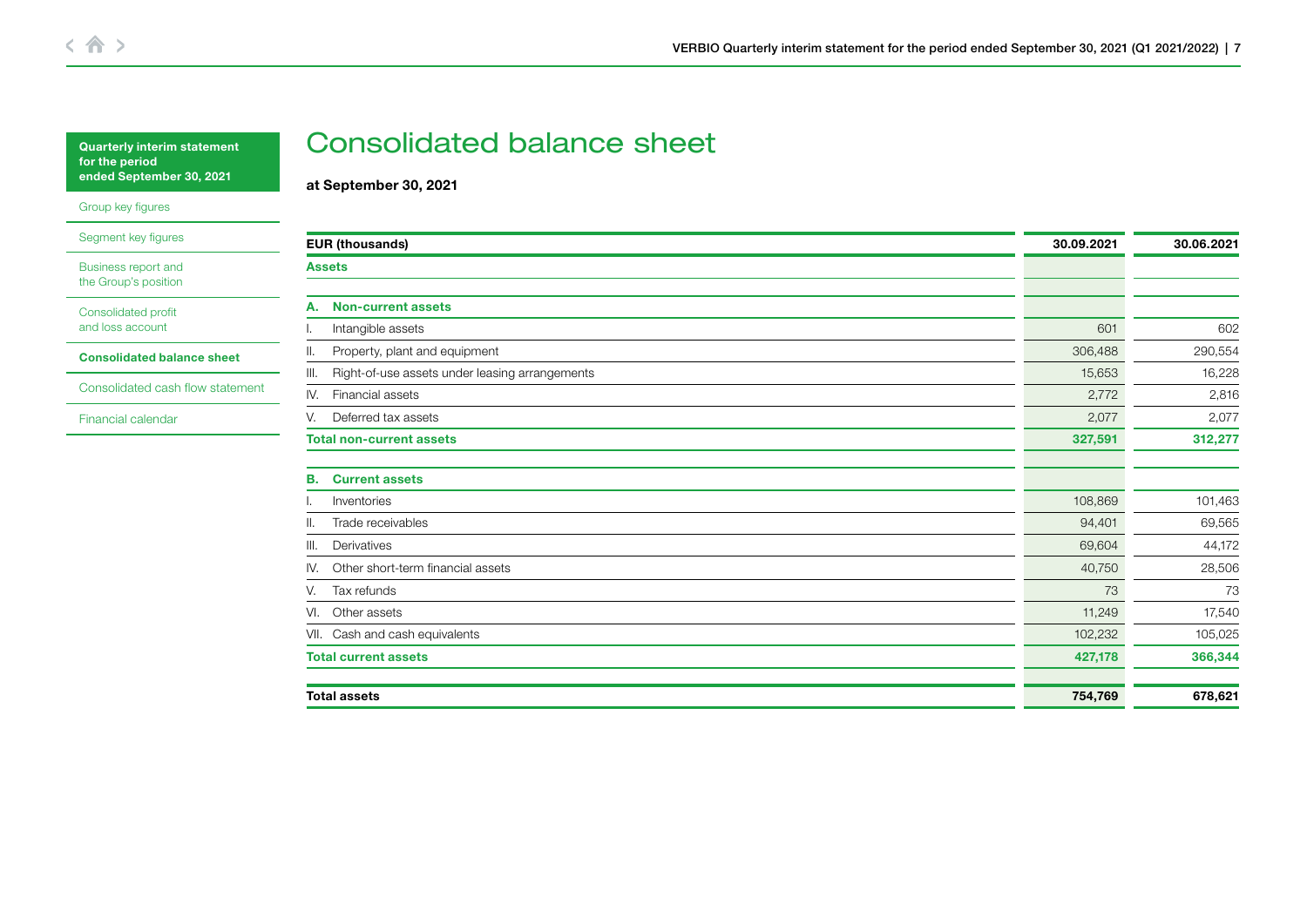<span id="page-6-0"></span>

| <b>Quarterly interim statement</b> |
|------------------------------------|
| for the period.                    |
| ended September 30, 2021           |

### [Group key figures](#page-1-0)

[Segment key figures](#page-2-0)

[Business report and](#page-3-0)  the Group's position

[Consolidated profit](#page-5-0)  and loss account

Consolidated balance sheet

[Consolidated cash flow statement](#page-8-0)

[Financial calendar](#page-10-0)

# Consolidated balance sheet

at September 30, 2021

|               | <b>EUR (thousands)</b>                         | 30.09.2021 | 30.06.2021 |  |
|---------------|------------------------------------------------|------------|------------|--|
| <b>Assets</b> |                                                |            |            |  |
|               |                                                |            |            |  |
| А.            | <b>Non-current assets</b>                      |            |            |  |
|               | Intangible assets                              | 601        | 602        |  |
| Ⅲ.            | Property, plant and equipment                  | 306,488    | 290,554    |  |
| III.          | Right-of-use assets under leasing arrangements | 15,653     | 16,228     |  |
| IV.           | Financial assets                               | 2,772      | 2,816      |  |
| V.            | Deferred tax assets                            | 2,077      | 2,077      |  |
|               | <b>Total non-current assets</b>                | 327,591    | 312,277    |  |
| В.            | <b>Current assets</b>                          |            |            |  |
|               | Inventories                                    | 108,869    | 101,463    |  |
| Ⅱ.            | Trade receivables                              | 94,401     | 69,565     |  |
| III.          | Derivatives                                    | 69,604     | 44,172     |  |
| IV.           | Other short-term financial assets              | 40,750     | 28,506     |  |
| V.            | Tax refunds                                    | 73         | 73         |  |
| VI.           | Other assets                                   | 11,249     | 17,540     |  |
|               | VII. Cash and cash equivalents                 | 102,232    | 105,025    |  |
|               | <b>Total current assets</b>                    | 427,178    | 366,344    |  |
|               | <b>Total assets</b>                            | 754,769    | 678,621    |  |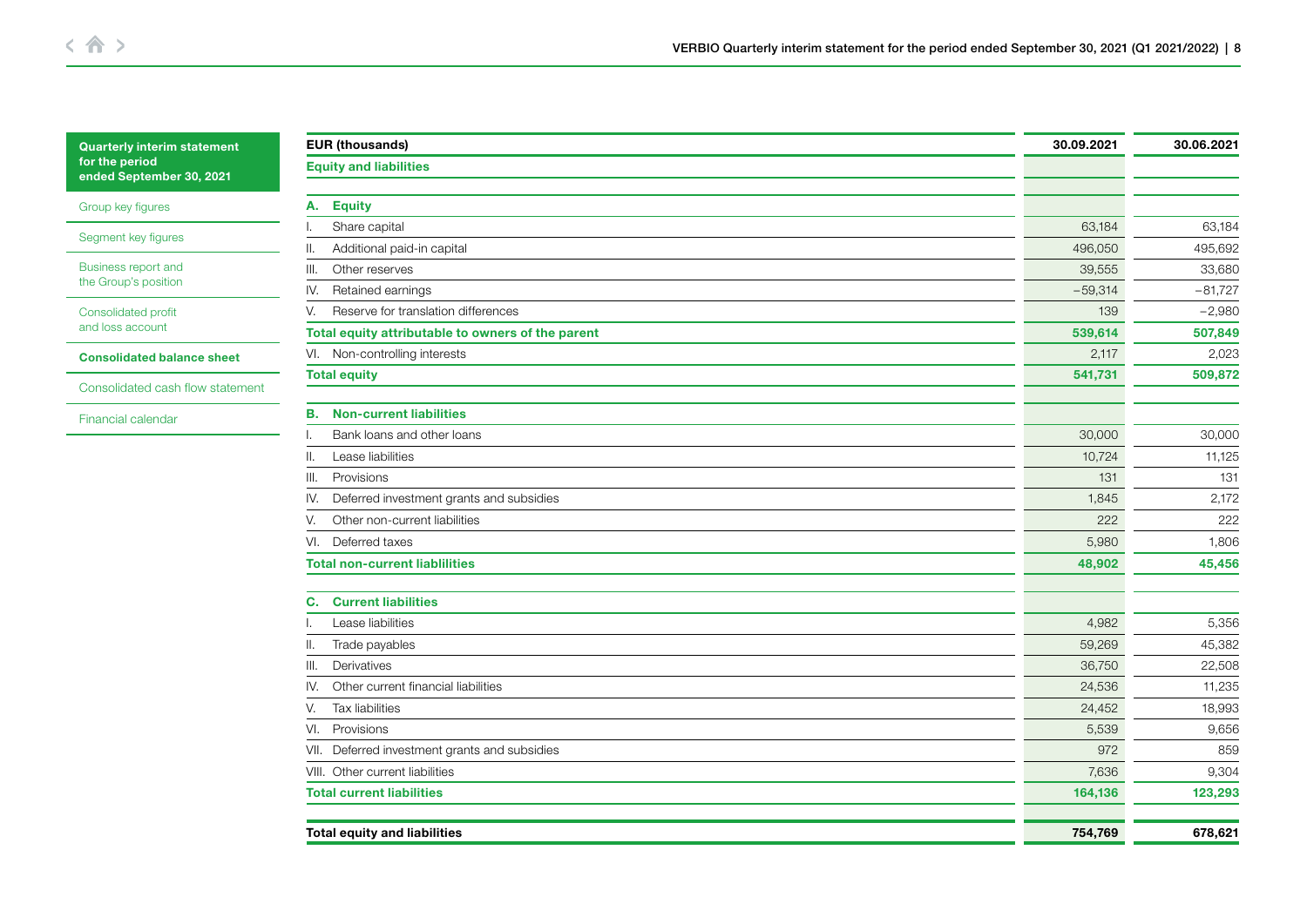[Group key figures](#page-1-0)

[Segment key figures](#page-2-0)

[Business report and](#page-3-0)  the Group's position

[Consolidated profit](#page-5-0)  and loss account

[Consolidated balance sheet](#page-6-0)

[Consolidated cash flow statement](#page-8-0)

[Financial calendar](#page-10-0)

| 63,184<br>496,050<br>39,555<br>$-59,314$<br>139 | 63,184<br>495,692<br>33,680<br>$-81,727$<br>$-2,980$ |
|-------------------------------------------------|------------------------------------------------------|
|                                                 |                                                      |
|                                                 |                                                      |
|                                                 |                                                      |
|                                                 |                                                      |
|                                                 |                                                      |
|                                                 |                                                      |
|                                                 |                                                      |
|                                                 | 507,849                                              |
| 2,117                                           | 2,023                                                |
| 541,731                                         | 509,872                                              |
|                                                 |                                                      |
|                                                 | 30,000                                               |
| 10,724                                          | 11,125                                               |
| 131                                             | 131                                                  |
| 1,845                                           | 2,172                                                |
| 222                                             | 222                                                  |
| 5,980                                           | 1,806                                                |
| 48,902                                          | 45,456                                               |
|                                                 |                                                      |
| 4,982                                           | 5,356                                                |
| 59,269                                          | 45,382                                               |
| 36,750                                          | 22,508                                               |
| 24,536                                          | 11,235                                               |
| 24,452                                          | 18,993                                               |
| 5,539                                           | 9,656                                                |
| 972                                             | 859                                                  |
| 7,636                                           | 9,304                                                |
| 164,136                                         | 123,293                                              |
|                                                 | 678,621                                              |
|                                                 | 539,614<br>30,000<br>754,769                         |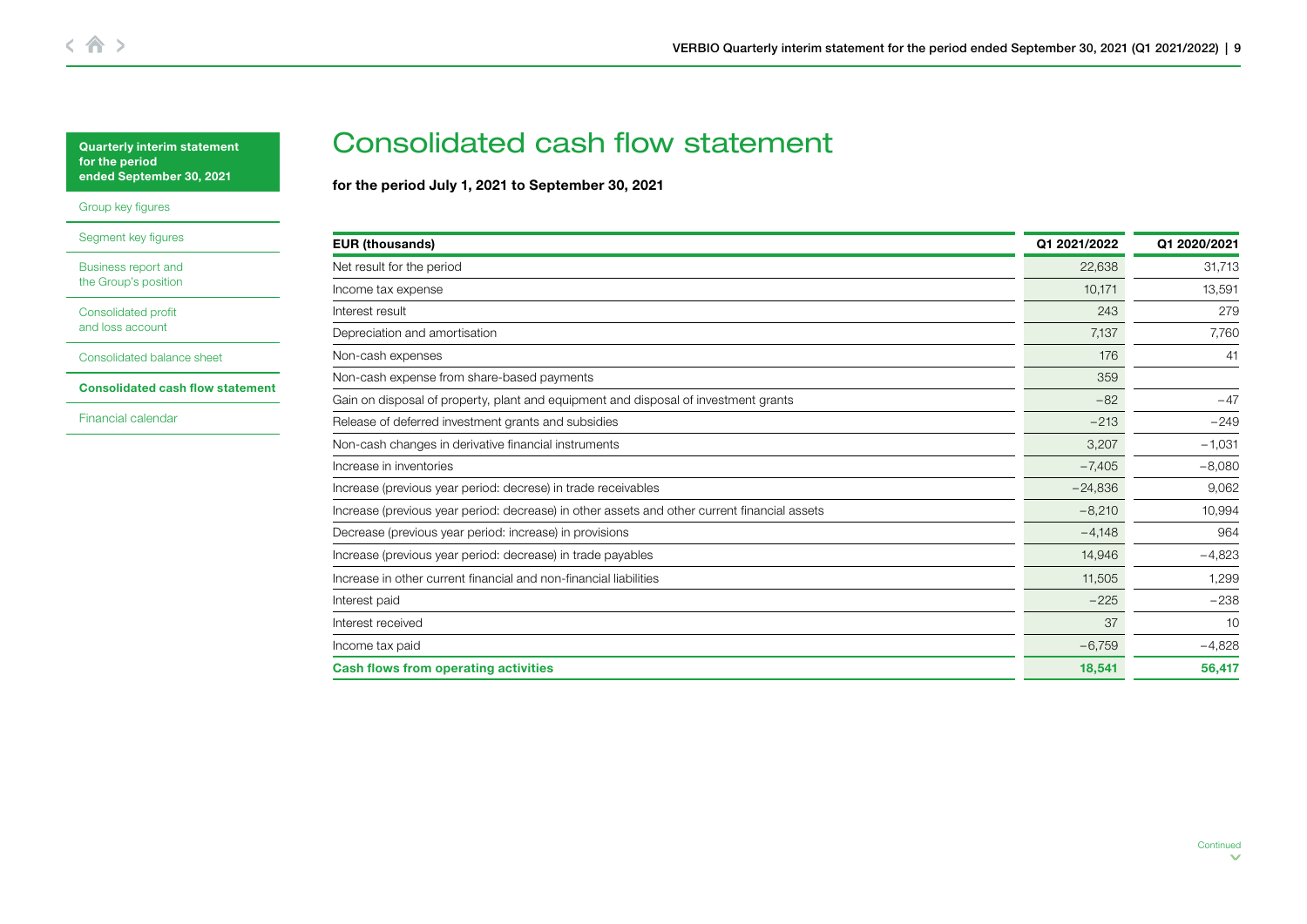<span id="page-8-0"></span>[Group key figures](#page-1-0)

[Segment key figures](#page-2-0)

[Business report and](#page-3-0)  the Group's position

[Consolidated profit](#page-5-0)  and loss account

[Consolidated balance sheet](#page-6-0)

Consolidated cash flow statement

[Financial calendar](#page-10-0)

# Consolidated cash flow statement

for the period July 1, 2021 to September 30, 2021

| <b>EUR (thousands)</b>                                                                       | Q1 2021/2022 | Q1 2020/2021 |
|----------------------------------------------------------------------------------------------|--------------|--------------|
| Net result for the period                                                                    | 22,638       | 31,713       |
| Income tax expense                                                                           | 10,171       | 13,591       |
| Interest result                                                                              | 243          | 279          |
| Depreciation and amortisation                                                                | 7,137        | 7,76C        |
| Non-cash expenses                                                                            | 176          | 41           |
| Non-cash expense from share-based payments                                                   | 359          |              |
| Gain on disposal of property, plant and equipment and disposal of investment grants          | $-82$        | $-47$        |
| Release of deferred investment grants and subsidies                                          | $-213$       | $-249$       |
| Non-cash changes in derivative financial instruments                                         | 3,207        | $-1,031$     |
| Increase in inventories                                                                      | $-7,405$     | $-8,080$     |
| Increase (previous year period: decrese) in trade receivables                                | $-24,836$    | 9,062        |
| Increase (previous year period: decrease) in other assets and other current financial assets | $-8,210$     | 10,994       |
| Decrease (previous year period: increase) in provisions                                      | $-4,148$     | 964          |
| Increase (previous year period: decrease) in trade payables                                  | 14,946       | $-4,823$     |
| Increase in other current financial and non-financial liabilities                            | 11,505       | 1,299        |
| Interest paid                                                                                | $-225$       | $-238$       |
| Interest received                                                                            | 37           | 10           |
| Income tax paid                                                                              | $-6,759$     | $-4,828$     |
| <b>Cash flows from operating activities</b>                                                  | 18,541       | 56,417       |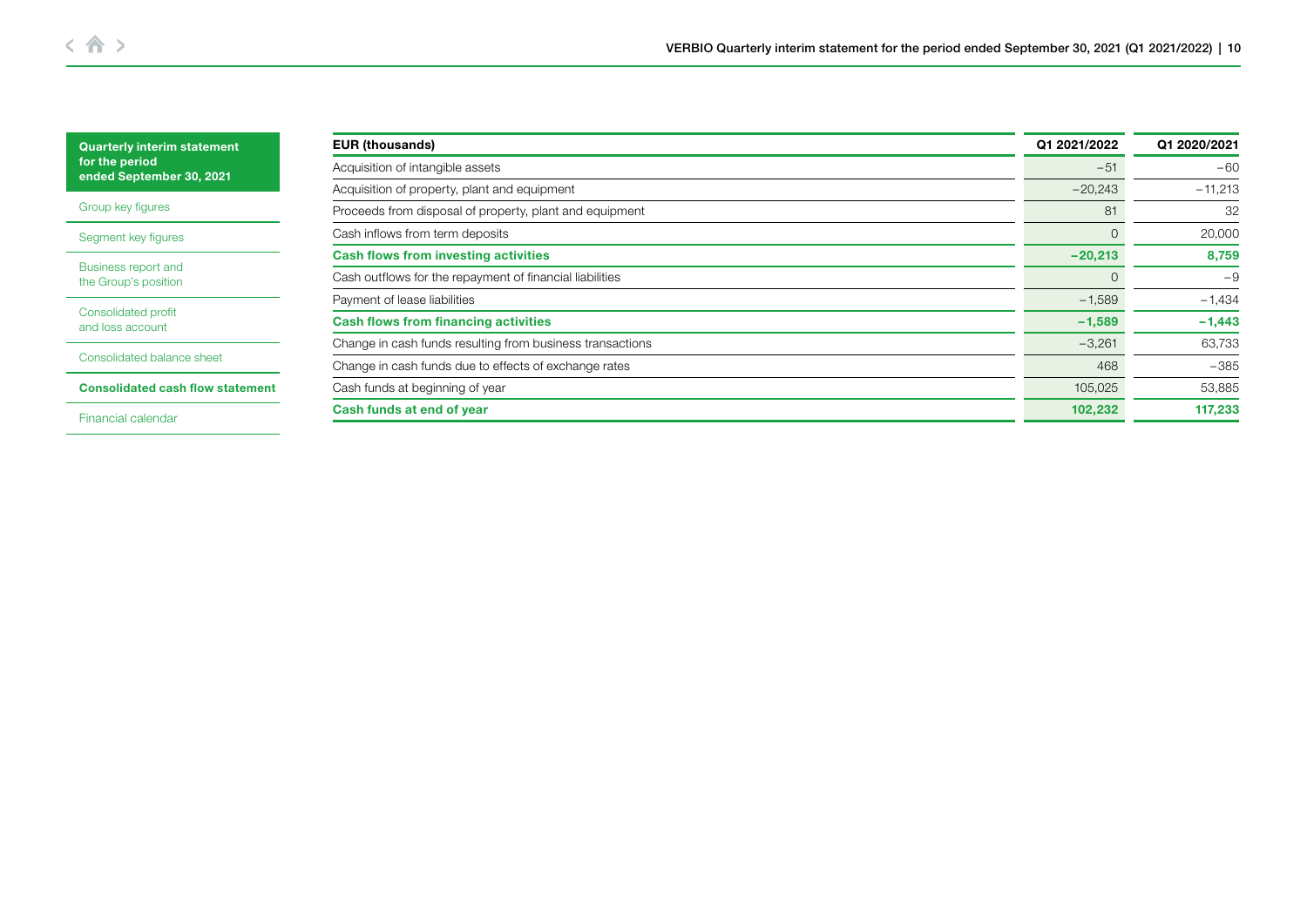| <b>Quarterly interim statement</b>                                         | <b>EUR (thousands)</b>                                    | Q1 2021/2022   | Q1 2020/2021 |
|----------------------------------------------------------------------------|-----------------------------------------------------------|----------------|--------------|
| for the period<br>ended September 30, 2021                                 | Acquisition of intangible assets                          | $-51$          | $-60$        |
|                                                                            | Acquisition of property, plant and equipment              | $-20,243$      | $-11,213$    |
| Group key figures                                                          | Proceeds from disposal of property, plant and equipment   | 81             | -32          |
| Segment key figures                                                        | Cash inflows from term deposits                           | $\Omega$       | 20,000       |
|                                                                            | <b>Cash flows from investing activities</b>               | $-20,213$      | 8,759        |
| Business report and<br>the Group's position                                | Cash outflows for the repayment of financial liabilities  | $\overline{0}$ | $-9$         |
|                                                                            | Payment of lease liabilities                              | $-1,589$       | $-1,434$     |
| Consolidated profit<br>and loss account                                    | <b>Cash flows from financing activities</b>               | $-1,589$       | $-1,443$     |
|                                                                            | Change in cash funds resulting from business transactions | $-3,261$       | 63,733       |
| Consolidated balance sheet                                                 | Change in cash funds due to effects of exchange rates     | 468            | $-385$       |
| Cash funds at beginning of year<br><b>Consolidated cash flow statement</b> |                                                           | 105,025        | 53,885       |
| Financial calendar                                                         | Cash funds at end of year                                 | 102,232        | 117,233      |